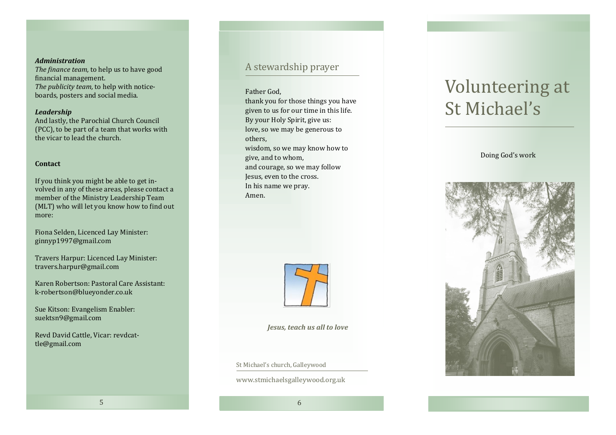### *Administration*

*The finance team,* to help us to have good financial management. *The publicity team,* to help with noticeboards, posters and social media.

### *Leadership*

And lastly, the Parochial Church Council (PCC), to be part of a team that works with the vicar to lead the church.

### **Contact**

If you think you might be able to get involved in any of these areas, please contact a member of the Ministry Leadership Team (MLT) who will let you know how to find out more:

Fiona Selden, Licenced Lay Minister: ginnyp1997@gmail.com

Travers Harpur: Licenced Lay Minister: travers.harpur@gmail.com

Karen Robertson: Pastoral Care Assistant: k-robertson@blueyonder.co.uk

Sue Kitson: Evangelism Enabler: suektsn9@gmail.com

Revd David Cattle, Vicar: revdcattle@gmail.com

# A stewardship prayer

#### Father God,

thank you for those things you have given to us for our time in this life. By your Holy Spirit, give us: love, so we may be generous to others, wisdom, so we may know how to give, and to whom, and courage, so we may follow Jesus, even to the cross. In his name we pray. Amen.



*Jesus, teach us all to love*

St Michael's church, Galleywood

www.stmichaelsgalleywood.org.uk

# Volunteering at St Michael's

## Doing God's work